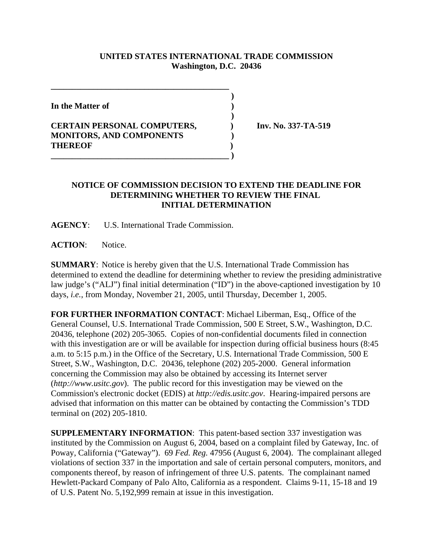## **UNITED STATES INTERNATIONAL TRADE COMMISSION Washington, D.C. 20436**

 **)**

 **)**

**In the Matter of )**

## **CERTAIN PERSONAL COMPUTERS, ) Inv. No. 337-TA-519 MONITORS, AND COMPONENTS ) THEREOF ) \_\_\_\_\_\_\_\_\_\_\_\_\_\_\_\_\_\_\_\_\_\_\_\_\_\_\_\_\_\_\_\_\_\_\_\_\_\_\_\_\_\_ )**

**\_\_\_\_\_\_\_\_\_\_\_\_\_\_\_\_\_\_\_\_\_\_\_\_\_\_\_\_\_\_\_\_\_\_\_\_\_\_\_\_\_\_**

## **NOTICE OF COMMISSION DECISION TO EXTEND THE DEADLINE FOR DETERMINING WHETHER TO REVIEW THE FINAL INITIAL DETERMINATION**

**AGENCY**: U.S. International Trade Commission.

**ACTION**: Notice.

**SUMMARY**: Notice is hereby given that the U.S. International Trade Commission has determined to extend the deadline for determining whether to review the presiding administrative law judge's ("ALJ") final initial determination ("ID") in the above-captioned investigation by 10 days, *i.e.*, from Monday, November 21, 2005, until Thursday, December 1, 2005.

**FOR FURTHER INFORMATION CONTACT**: Michael Liberman, Esq., Office of the General Counsel, U.S. International Trade Commission, 500 E Street, S.W., Washington, D.C. 20436, telephone (202) 205-3065. Copies of non-confidential documents filed in connection with this investigation are or will be available for inspection during official business hours (8:45) a.m. to 5:15 p.m.) in the Office of the Secretary, U.S. International Trade Commission, 500 E Street, S.W., Washington, D.C. 20436, telephone (202) 205-2000. General information concerning the Commission may also be obtained by accessing its Internet server (*http://www.usitc.gov*). The public record for this investigation may be viewed on the Commission's electronic docket (EDIS) at *http://edis.usitc.gov*. Hearing-impaired persons are advised that information on this matter can be obtained by contacting the Commission's TDD terminal on (202) 205-1810.

**SUPPLEMENTARY INFORMATION**: This patent-based section 337 investigation was instituted by the Commission on August 6, 2004, based on a complaint filed by Gateway, Inc. of Poway, California ("Gateway"). 69 *Fed. Reg.* 47956 (August 6, 2004). The complainant alleged violations of section 337 in the importation and sale of certain personal computers, monitors, and components thereof, by reason of infringement of three U.S. patents. The complainant named Hewlett-Packard Company of Palo Alto, California as a respondent. Claims 9-11, 15-18 and 19 of U.S. Patent No. 5,192,999 remain at issue in this investigation.